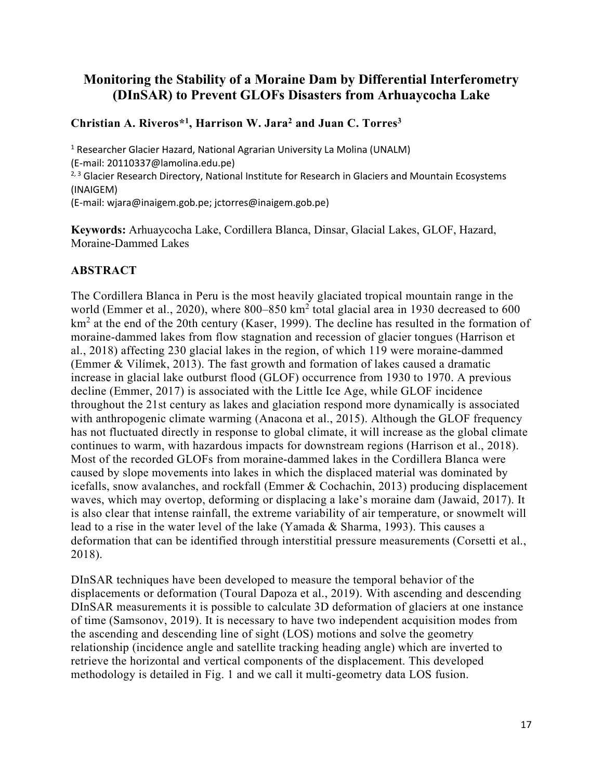## **Monitoring the Stability of a Moraine Dam by Differential Interferometry (DInSAR) to Prevent GLOFs Disasters from Arhuaycocha Lake**

## **Christian A. Riveros\*1, Harrison W. Jara2 and Juan C. Torres3**

<sup>1</sup> Researcher Glacier Hazard, National Agrarian University La Molina (UNALM) (E-mail: 20110337@lamolina.edu.pe) <sup>2, 3</sup> Glacier Research Directory, National Institute for Research in Glaciers and Mountain Ecosystems (INAIGEM) (E-mail: wjara@inaigem.gob.pe; jctorres@inaigem.gob.pe)

**Keywords:** Arhuaycocha Lake, Cordillera Blanca, Dinsar, Glacial Lakes, GLOF, Hazard, Moraine-Dammed Lakes

## **ABSTRACT**

The Cordillera Blanca in Peru is the most heavily glaciated tropical mountain range in the world (Emmer et al., 2020), where 800–850 km<sup>2</sup> total glacial area in 1930 decreased to 600  $km<sup>2</sup>$  at the end of the 20th century (Kaser, 1999). The decline has resulted in the formation of moraine-dammed lakes from flow stagnation and recession of glacier tongues (Harrison et al., 2018) affecting 230 glacial lakes in the region, of which 119 were moraine-dammed (Emmer & Vilímek, 2013). The fast growth and formation of lakes caused a dramatic increase in glacial lake outburst flood (GLOF) occurrence from 1930 to 1970. A previous decline (Emmer, 2017) is associated with the Little Ice Age, while GLOF incidence throughout the 21st century as lakes and glaciation respond more dynamically is associated with anthropogenic climate warming (Anacona et al., 2015). Although the GLOF frequency has not fluctuated directly in response to global climate, it will increase as the global climate continues to warm, with hazardous impacts for downstream regions (Harrison et al., 2018). Most of the recorded GLOFs from moraine-dammed lakes in the Cordillera Blanca were caused by slope movements into lakes in which the displaced material was dominated by icefalls, snow avalanches, and rockfall (Emmer & Cochachin, 2013) producing displacement waves, which may overtop, deforming or displacing a lake's moraine dam (Jawaid, 2017). It is also clear that intense rainfall, the extreme variability of air temperature, or snowmelt will lead to a rise in the water level of the lake (Yamada & Sharma, 1993). This causes a deformation that can be identified through interstitial pressure measurements (Corsetti et al., 2018).

DInSAR techniques have been developed to measure the temporal behavior of the displacements or deformation (Toural Dapoza et al., 2019). With ascending and descending DInSAR measurements it is possible to calculate 3D deformation of glaciers at one instance of time (Samsonov, 2019). It is necessary to have two independent acquisition modes from the ascending and descending line of sight (LOS) motions and solve the geometry relationship (incidence angle and satellite tracking heading angle) which are inverted to retrieve the horizontal and vertical components of the displacement. This developed methodology is detailed in Fig. 1 and we call it multi-geometry data LOS fusion.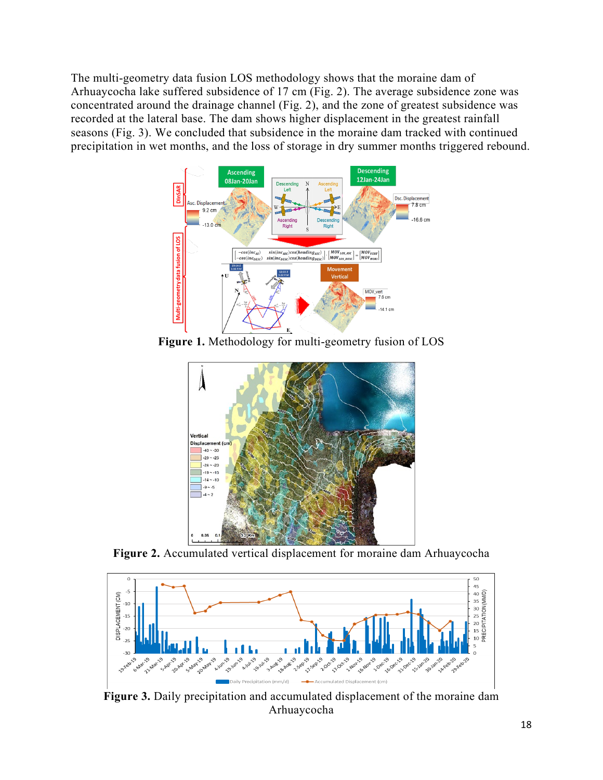The multi-geometry data fusion LOS methodology shows that the moraine dam of Arhuaycocha lake suffered subsidence of 17 cm (Fig. 2). The average subsidence zone was concentrated around the drainage channel (Fig. 2), and the zone of greatest subsidence was recorded at the lateral base. The dam shows higher displacement in the greatest rainfall seasons (Fig. 3). We concluded that subsidence in the moraine dam tracked with continued precipitation in wet months, and the loss of storage in dry summer months triggered rebound.



**Figure 1.** Methodology for multi-geometry fusion of LOS



**Figure 2.** Accumulated vertical displacement for moraine dam Arhuaycocha



**Figure 3.** Daily precipitation and accumulated displacement of the moraine dam Arhuaycocha